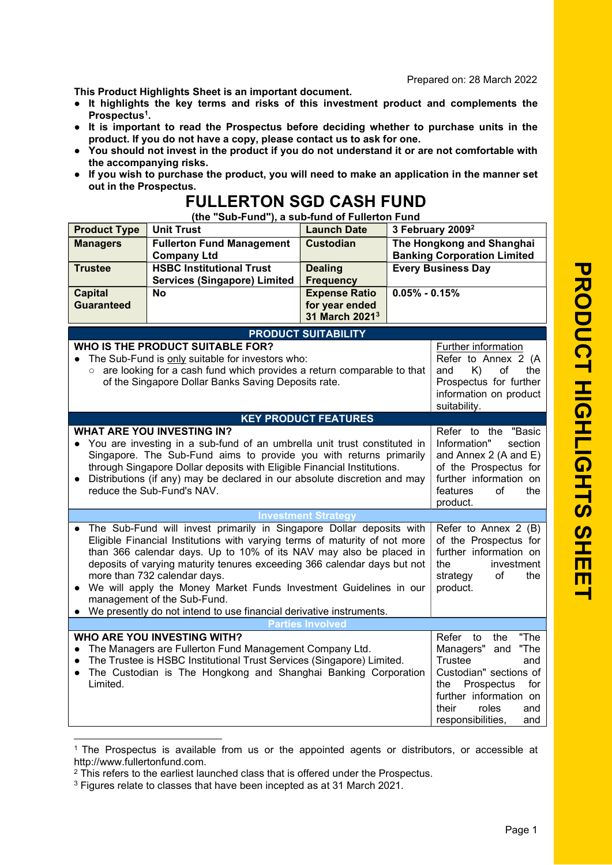Prepared on: 28 March 202 2

This Product Highlights Sheet is an important document.

- It highlights the key terms and risks of this investment product and complements the Prospectus<sup>1</sup>.
- It is important to read the Prospectus before deciding whether to purchase units in the product. If you do not have a copy, please contact us to ask for one.
- You should not invest in the product if you do not understand it or are not comfortable with the accompanying risks.
- If you wish to purchase the product, you will need to make an application in the manner set out in the Prospectus.

## FULLERTON SGD CASH FUND

(the "Sub-Fund"), a sub-fund of Fullerton Fund

| <b>Product Type</b>                                                                                                                                                                                                                                                                                                                                                                                                                                                                                                                                                                                                                                                            | <b>Unit Trust</b>                                                      | <b>Launch Date</b>                                                                                                                       | 3 February 2009 <sup>2</sup>                                    |                                                                                                                                                                 |  |  |  |
|--------------------------------------------------------------------------------------------------------------------------------------------------------------------------------------------------------------------------------------------------------------------------------------------------------------------------------------------------------------------------------------------------------------------------------------------------------------------------------------------------------------------------------------------------------------------------------------------------------------------------------------------------------------------------------|------------------------------------------------------------------------|------------------------------------------------------------------------------------------------------------------------------------------|-----------------------------------------------------------------|-----------------------------------------------------------------------------------------------------------------------------------------------------------------|--|--|--|
| <b>Managers</b>                                                                                                                                                                                                                                                                                                                                                                                                                                                                                                                                                                                                                                                                | <b>Fullerton Fund Management</b><br><b>Company Ltd</b>                 | <b>Custodian</b>                                                                                                                         | The Hongkong and Shanghai<br><b>Banking Corporation Limited</b> |                                                                                                                                                                 |  |  |  |
| <b>Trustee</b>                                                                                                                                                                                                                                                                                                                                                                                                                                                                                                                                                                                                                                                                 | <b>HSBC Institutional Trust</b><br><b>Services (Singapore) Limited</b> | <b>Dealing</b><br><b>Frequency</b>                                                                                                       | <b>Every Business Day</b>                                       |                                                                                                                                                                 |  |  |  |
| <b>Capital</b><br><b>Guaranteed</b>                                                                                                                                                                                                                                                                                                                                                                                                                                                                                                                                                                                                                                            | <b>No</b>                                                              | <b>Expense Ratio</b><br>for year ended<br>31 March 2021 <sup>3</sup>                                                                     | $0.05\% - 0.15\%$                                               |                                                                                                                                                                 |  |  |  |
| <b>PRODUCT SUITABILITY</b>                                                                                                                                                                                                                                                                                                                                                                                                                                                                                                                                                                                                                                                     |                                                                        |                                                                                                                                          |                                                                 |                                                                                                                                                                 |  |  |  |
| <b>WHO IS THE PRODUCT SUITABLE FOR?</b><br>The Sub-Fund is only suitable for investors who:<br>are looking for a cash fund which provides a return comparable to that<br>$\circ$<br>of the Singapore Dollar Banks Saving Deposits rate.                                                                                                                                                                                                                                                                                                                                                                                                                                        |                                                                        | Further information<br>Refer to Annex 2 (A<br>K)<br>of<br>and<br>the<br>Prospectus for further<br>information on product<br>suitability. |                                                                 |                                                                                                                                                                 |  |  |  |
|                                                                                                                                                                                                                                                                                                                                                                                                                                                                                                                                                                                                                                                                                |                                                                        | <b>KEY PRODUCT FEATURES</b>                                                                                                              |                                                                 |                                                                                                                                                                 |  |  |  |
| <b>WHAT ARE YOU INVESTING IN?</b><br>• You are investing in a sub-fund of an umbrella unit trust constituted in<br>Singapore. The Sub-Fund aims to provide you with returns primarily<br>through Singapore Dollar deposits with Eligible Financial Institutions.<br>Distributions (if any) may be declared in our absolute discretion and may<br>$\bullet$<br>reduce the Sub-Fund's NAV.                                                                                                                                                                                                                                                                                       |                                                                        |                                                                                                                                          |                                                                 | Refer to the "Basic<br>Information"<br>section<br>and Annex 2 (A and E)<br>of the Prospectus for<br>further information on<br>features<br>of<br>the<br>product. |  |  |  |
|                                                                                                                                                                                                                                                                                                                                                                                                                                                                                                                                                                                                                                                                                |                                                                        | <b>Investment Strategy</b>                                                                                                               |                                                                 |                                                                                                                                                                 |  |  |  |
| The Sub-Fund will invest primarily in Singapore Dollar deposits with<br>Refer to Annex 2 (B)<br>Eligible Financial Institutions with varying terms of maturity of not more<br>of the Prospectus for<br>than 366 calendar days. Up to 10% of its NAV may also be placed in<br>further information on<br>deposits of varying maturity tenures exceeding 366 calendar days but not<br>investment<br>the<br>more than 732 calendar days.<br>strategy<br>of<br>the<br>We will apply the Money Market Funds Investment Guidelines in our<br>product.<br>$\bullet$<br>management of the Sub-Fund.<br>We presently do not intend to use financial derivative instruments.<br>$\bullet$ |                                                                        |                                                                                                                                          |                                                                 |                                                                                                                                                                 |  |  |  |
| Involved                                                                                                                                                                                                                                                                                                                                                                                                                                                                                                                                                                                                                                                                       |                                                                        |                                                                                                                                          |                                                                 |                                                                                                                                                                 |  |  |  |
| <b>WHO ARE YOU INVESTING WITH?</b><br>Refer<br>the<br>"The<br>to<br>The Managers are Fullerton Fund Management Company Ltd.<br>Managers"<br>"The<br>and<br>$\bullet$<br>The Trustee is HSBC Institutional Trust Services (Singapore) Limited.<br><b>Trustee</b><br>and<br>$\bullet$<br>Custodian" sections of<br>The Custodian is The Hongkong and Shanghai Banking Corporation<br>$\bullet$<br>Limited.<br>Prospectus<br>for<br>the<br>further information on<br>their<br>roles<br>and<br>responsibilities,<br>and                                                                                                                                                            |                                                                        |                                                                                                                                          |                                                                 |                                                                                                                                                                 |  |  |  |

<sup>1</sup> The Prospectus is available from us or the appointed agents or distributors, or accessible at http://www.fullertonfund.com.

<sup>&</sup>lt;sup>2</sup> This refers to the earliest launched class that is offered under the Prospectus.

<sup>3</sup> Figures relate to classes that have been incepted as at 31 March 2021.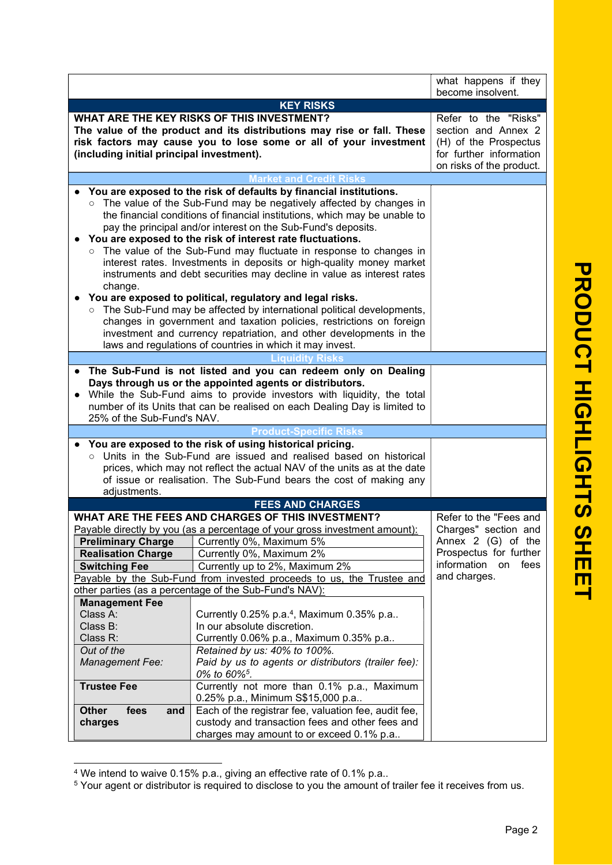|                                                                                                                                                                                                                                                                                                                                                                                                                                                                                                                                                                                                                                                                                                                                                                                                       | what happens if they<br>become insolvent.                                                                                        |                        |  |  |  |  |
|-------------------------------------------------------------------------------------------------------------------------------------------------------------------------------------------------------------------------------------------------------------------------------------------------------------------------------------------------------------------------------------------------------------------------------------------------------------------------------------------------------------------------------------------------------------------------------------------------------------------------------------------------------------------------------------------------------------------------------------------------------------------------------------------------------|----------------------------------------------------------------------------------------------------------------------------------|------------------------|--|--|--|--|
|                                                                                                                                                                                                                                                                                                                                                                                                                                                                                                                                                                                                                                                                                                                                                                                                       |                                                                                                                                  |                        |  |  |  |  |
| <b>KEY RISKS</b><br>WHAT ARE THE KEY RISKS OF THIS INVESTMENT?                                                                                                                                                                                                                                                                                                                                                                                                                                                                                                                                                                                                                                                                                                                                        |                                                                                                                                  |                        |  |  |  |  |
| The value of the product and its distributions may rise or fall. These<br>risk factors may cause you to lose some or all of your investment<br>(including initial principal investment).                                                                                                                                                                                                                                                                                                                                                                                                                                                                                                                                                                                                              | Refer to the "Risks"<br>section and Annex 2<br>(H) of the Prospectus<br>for further information<br>on risks of the product.      |                        |  |  |  |  |
|                                                                                                                                                                                                                                                                                                                                                                                                                                                                                                                                                                                                                                                                                                                                                                                                       | <b>Market and Credit Risks</b>                                                                                                   |                        |  |  |  |  |
| You are exposed to the risk of defaults by financial institutions.<br>The value of the Sub-Fund may be negatively affected by changes in<br>the financial conditions of financial institutions, which may be unable to<br>pay the principal and/or interest on the Sub-Fund's deposits.<br>You are exposed to the risk of interest rate fluctuations.<br>The value of the Sub-Fund may fluctuate in response to changes in<br>interest rates. Investments in deposits or high-quality money market<br>instruments and debt securities may decline in value as interest rates<br>change.<br>You are exposed to political, regulatory and legal risks.<br>The Sub-Fund may be affected by international political developments,<br>changes in government and taxation policies, restrictions on foreign |                                                                                                                                  |                        |  |  |  |  |
|                                                                                                                                                                                                                                                                                                                                                                                                                                                                                                                                                                                                                                                                                                                                                                                                       | investment and currency repatriation, and other developments in the<br>laws and regulations of countries in which it may invest. |                        |  |  |  |  |
|                                                                                                                                                                                                                                                                                                                                                                                                                                                                                                                                                                                                                                                                                                                                                                                                       | <b>Liquidity Risks</b>                                                                                                           |                        |  |  |  |  |
| The Sub-Fund is not listed and you can redeem only on Dealing<br>Days through us or the appointed agents or distributors.<br>While the Sub-Fund aims to provide investors with liquidity, the total<br>number of its Units that can be realised on each Dealing Day is limited to<br>25% of the Sub-Fund's NAV.                                                                                                                                                                                                                                                                                                                                                                                                                                                                                       |                                                                                                                                  |                        |  |  |  |  |
|                                                                                                                                                                                                                                                                                                                                                                                                                                                                                                                                                                                                                                                                                                                                                                                                       | <b>Product-Specific Risks</b>                                                                                                    |                        |  |  |  |  |
| You are exposed to the risk of using historical pricing.<br>o Units in the Sub-Fund are issued and realised based on historical<br>prices, which may not reflect the actual NAV of the units as at the date<br>of issue or realisation. The Sub-Fund bears the cost of making any<br>adjustments.                                                                                                                                                                                                                                                                                                                                                                                                                                                                                                     |                                                                                                                                  |                        |  |  |  |  |
| <b>FEES AND CHARGES</b>                                                                                                                                                                                                                                                                                                                                                                                                                                                                                                                                                                                                                                                                                                                                                                               |                                                                                                                                  |                        |  |  |  |  |
|                                                                                                                                                                                                                                                                                                                                                                                                                                                                                                                                                                                                                                                                                                                                                                                                       | WHAT ARE THE FEES AND CHARGES OF THIS INVESTMENT?                                                                                | Refer to the "Fees and |  |  |  |  |
|                                                                                                                                                                                                                                                                                                                                                                                                                                                                                                                                                                                                                                                                                                                                                                                                       | Payable directly by you (as a percentage of your gross investment amount):                                                       | Charges" section and   |  |  |  |  |
| <b>Preliminary Charge</b>                                                                                                                                                                                                                                                                                                                                                                                                                                                                                                                                                                                                                                                                                                                                                                             | Currently 0%, Maximum 5%                                                                                                         |                        |  |  |  |  |
| <b>Realisation Charge</b>                                                                                                                                                                                                                                                                                                                                                                                                                                                                                                                                                                                                                                                                                                                                                                             | Currently 0%, Maximum 2%                                                                                                         |                        |  |  |  |  |
| <b>Switching Fee</b>                                                                                                                                                                                                                                                                                                                                                                                                                                                                                                                                                                                                                                                                                                                                                                                  | information on<br>fees                                                                                                           |                        |  |  |  |  |
| Currently up to 2%, Maximum 2%<br>and charges.<br>Payable by the Sub-Fund from invested proceeds to us, the Trustee and                                                                                                                                                                                                                                                                                                                                                                                                                                                                                                                                                                                                                                                                               |                                                                                                                                  |                        |  |  |  |  |
| other parties (as a percentage of the Sub-Fund's NAV):                                                                                                                                                                                                                                                                                                                                                                                                                                                                                                                                                                                                                                                                                                                                                |                                                                                                                                  |                        |  |  |  |  |
| <b>Management Fee</b>                                                                                                                                                                                                                                                                                                                                                                                                                                                                                                                                                                                                                                                                                                                                                                                 |                                                                                                                                  |                        |  |  |  |  |
| Class A:                                                                                                                                                                                                                                                                                                                                                                                                                                                                                                                                                                                                                                                                                                                                                                                              | Currently $0.25\%$ p.a. <sup>4</sup> , Maximum $0.35\%$ p.a                                                                      |                        |  |  |  |  |
| Class B:                                                                                                                                                                                                                                                                                                                                                                                                                                                                                                                                                                                                                                                                                                                                                                                              | In our absolute discretion.                                                                                                      |                        |  |  |  |  |
| Class R:                                                                                                                                                                                                                                                                                                                                                                                                                                                                                                                                                                                                                                                                                                                                                                                              | Currently 0.06% p.a., Maximum 0.35% p.a                                                                                          |                        |  |  |  |  |
| Out of the                                                                                                                                                                                                                                                                                                                                                                                                                                                                                                                                                                                                                                                                                                                                                                                            | Retained by us: 40% to 100%.<br>Paid by us to agents or distributors (trailer fee):                                              |                        |  |  |  |  |
| Management Fee:                                                                                                                                                                                                                                                                                                                                                                                                                                                                                                                                                                                                                                                                                                                                                                                       |                                                                                                                                  |                        |  |  |  |  |
| 0% to 60% <sup>5</sup> .<br><b>Trustee Fee</b><br>Currently not more than 0.1% p.a., Maximum<br>0.25% p.a., Minimum S\$15,000 p.a<br>Each of the registrar fee, valuation fee, audit fee,                                                                                                                                                                                                                                                                                                                                                                                                                                                                                                                                                                                                             |                                                                                                                                  |                        |  |  |  |  |
| <b>Other</b><br>fees<br>and                                                                                                                                                                                                                                                                                                                                                                                                                                                                                                                                                                                                                                                                                                                                                                           |                                                                                                                                  |                        |  |  |  |  |
| charges                                                                                                                                                                                                                                                                                                                                                                                                                                                                                                                                                                                                                                                                                                                                                                                               | custody and transaction fees and other fees and<br>charges may amount to or exceed 0.1% p.a                                      |                        |  |  |  |  |

<sup>4</sup> We intend to waive 0.15% p.a., giving an effective rate of 0.1% p.a..

<sup>&</sup>lt;sup>5</sup> Your agent or distributor is required to disclose to you the amount of trailer fee it receives from us.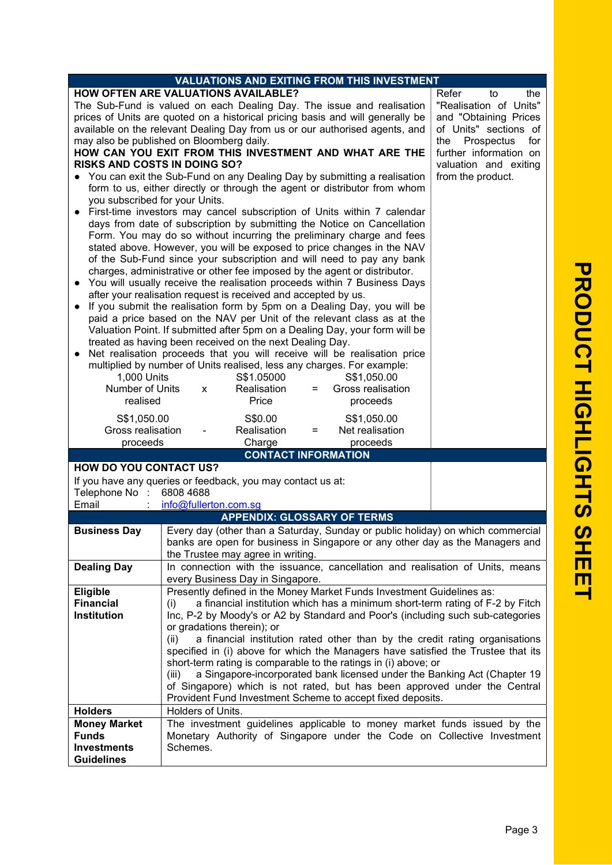| <b>VALUATIONS AND EXITING FROM THIS INVESTMENT</b>                                                                                                                                                                                                                                                                                                                                                                                                                                                                                                                                                                                                                                                                                                                                                                                                                                                                                                                                                                                                                                                                                                                                                                                                                                                                                                                                                                                                                                                                                                                                                                                                                                                                                                                                                                                                                                                                                                                                                                                                                                                                                                                                                           |                                                                                                                                                                                                                                                                                                                                                                                                                                                                                                           |                                    |  |  |                                                                                 |
|--------------------------------------------------------------------------------------------------------------------------------------------------------------------------------------------------------------------------------------------------------------------------------------------------------------------------------------------------------------------------------------------------------------------------------------------------------------------------------------------------------------------------------------------------------------------------------------------------------------------------------------------------------------------------------------------------------------------------------------------------------------------------------------------------------------------------------------------------------------------------------------------------------------------------------------------------------------------------------------------------------------------------------------------------------------------------------------------------------------------------------------------------------------------------------------------------------------------------------------------------------------------------------------------------------------------------------------------------------------------------------------------------------------------------------------------------------------------------------------------------------------------------------------------------------------------------------------------------------------------------------------------------------------------------------------------------------------------------------------------------------------------------------------------------------------------------------------------------------------------------------------------------------------------------------------------------------------------------------------------------------------------------------------------------------------------------------------------------------------------------------------------------------------------------------------------------------------|-----------------------------------------------------------------------------------------------------------------------------------------------------------------------------------------------------------------------------------------------------------------------------------------------------------------------------------------------------------------------------------------------------------------------------------------------------------------------------------------------------------|------------------------------------|--|--|---------------------------------------------------------------------------------|
| <b>HOW OFTEN ARE VALUATIONS AVAILABLE?</b><br>Refer<br>the<br>to<br>The Sub-Fund is valued on each Dealing Day. The issue and realisation<br>"Realisation of Units"<br>prices of Units are quoted on a historical pricing basis and will generally be<br>and "Obtaining Prices<br>available on the relevant Dealing Day from us or our authorised agents, and<br>of Units" sections of<br>may also be published on Bloomberg daily.<br>for<br>the<br>Prospectus<br>HOW CAN YOU EXIT FROM THIS INVESTMENT AND WHAT ARE THE<br>further information on<br><b>RISKS AND COSTS IN DOING SO?</b><br>valuation and exiting<br>You can exit the Sub-Fund on any Dealing Day by submitting a realisation<br>from the product.<br>form to us, either directly or through the agent or distributor from whom<br>you subscribed for your Units.<br>First-time investors may cancel subscription of Units within 7 calendar<br>days from date of subscription by submitting the Notice on Cancellation<br>Form. You may do so without incurring the preliminary charge and fees<br>stated above. However, you will be exposed to price changes in the NAV<br>of the Sub-Fund since your subscription and will need to pay any bank<br>charges, administrative or other fee imposed by the agent or distributor.<br>You will usually receive the realisation proceeds within 7 Business Days<br>after your realisation request is received and accepted by us.<br>If you submit the realisation form by 5pm on a Dealing Day, you will be<br>$\bullet$<br>paid a price based on the NAV per Unit of the relevant class as at the<br>Valuation Point. If submitted after 5pm on a Dealing Day, your form will be<br>treated as having been received on the next Dealing Day.<br>Net realisation proceeds that you will receive will be realisation price<br>multiplied by number of Units realised, less any charges. For example:<br>1,000 Units<br>S\$1.05000<br>S\$1,050.00<br>Number of Units<br>Gross realisation<br>Realisation<br>X<br>$=$<br>realised<br>Price<br>proceeds<br>S\$1,050.00<br>S\$0.00<br>S\$1,050.00<br>Realisation<br>Net realisation<br>Gross realisation<br>$=$<br>proceeds<br>Charge<br>proceeds |                                                                                                                                                                                                                                                                                                                                                                                                                                                                                                           |                                    |  |  |                                                                                 |
| <b>HOW DO YOU CONTACT US?</b>                                                                                                                                                                                                                                                                                                                                                                                                                                                                                                                                                                                                                                                                                                                                                                                                                                                                                                                                                                                                                                                                                                                                                                                                                                                                                                                                                                                                                                                                                                                                                                                                                                                                                                                                                                                                                                                                                                                                                                                                                                                                                                                                                                                |                                                                                                                                                                                                                                                                                                                                                                                                                                                                                                           | <b>CONTACT INFORMATION</b>         |  |  |                                                                                 |
| If you have any queries or feedback, you may contact us at:<br>Telephone No :<br>Email                                                                                                                                                                                                                                                                                                                                                                                                                                                                                                                                                                                                                                                                                                                                                                                                                                                                                                                                                                                                                                                                                                                                                                                                                                                                                                                                                                                                                                                                                                                                                                                                                                                                                                                                                                                                                                                                                                                                                                                                                                                                                                                       | 6808 4688<br>info@fullerton.com.sg                                                                                                                                                                                                                                                                                                                                                                                                                                                                        | <b>APPENDIX: GLOSSARY OF TERMS</b> |  |  |                                                                                 |
| <b>Business Day</b>                                                                                                                                                                                                                                                                                                                                                                                                                                                                                                                                                                                                                                                                                                                                                                                                                                                                                                                                                                                                                                                                                                                                                                                                                                                                                                                                                                                                                                                                                                                                                                                                                                                                                                                                                                                                                                                                                                                                                                                                                                                                                                                                                                                          |                                                                                                                                                                                                                                                                                                                                                                                                                                                                                                           |                                    |  |  | Every day (other than a Saturday, Sunday or public holiday) on which commercial |
|                                                                                                                                                                                                                                                                                                                                                                                                                                                                                                                                                                                                                                                                                                                                                                                                                                                                                                                                                                                                                                                                                                                                                                                                                                                                                                                                                                                                                                                                                                                                                                                                                                                                                                                                                                                                                                                                                                                                                                                                                                                                                                                                                                                                              |                                                                                                                                                                                                                                                                                                                                                                                                                                                                                                           | the Trustee may agree in writing.  |  |  | banks are open for business in Singapore or any other day as the Managers and   |
| <b>Dealing Day</b>                                                                                                                                                                                                                                                                                                                                                                                                                                                                                                                                                                                                                                                                                                                                                                                                                                                                                                                                                                                                                                                                                                                                                                                                                                                                                                                                                                                                                                                                                                                                                                                                                                                                                                                                                                                                                                                                                                                                                                                                                                                                                                                                                                                           | In connection with the issuance, cancellation and realisation of Units, means                                                                                                                                                                                                                                                                                                                                                                                                                             |                                    |  |  |                                                                                 |
| Eligible<br><b>Financial</b><br><b>Institution</b>                                                                                                                                                                                                                                                                                                                                                                                                                                                                                                                                                                                                                                                                                                                                                                                                                                                                                                                                                                                                                                                                                                                                                                                                                                                                                                                                                                                                                                                                                                                                                                                                                                                                                                                                                                                                                                                                                                                                                                                                                                                                                                                                                           | every Business Day in Singapore.<br>Presently defined in the Money Market Funds Investment Guidelines as:<br>a financial institution which has a minimum short-term rating of F-2 by Fitch<br>(i)<br>Inc, P-2 by Moody's or A2 by Standard and Poor's (including such sub-categories                                                                                                                                                                                                                      |                                    |  |  |                                                                                 |
|                                                                                                                                                                                                                                                                                                                                                                                                                                                                                                                                                                                                                                                                                                                                                                                                                                                                                                                                                                                                                                                                                                                                                                                                                                                                                                                                                                                                                                                                                                                                                                                                                                                                                                                                                                                                                                                                                                                                                                                                                                                                                                                                                                                                              | or gradations therein); or<br>a financial institution rated other than by the credit rating organisations<br>(ii)<br>specified in (i) above for which the Managers have satisfied the Trustee that its<br>short-term rating is comparable to the ratings in (i) above; or<br>a Singapore-incorporated bank licensed under the Banking Act (Chapter 19<br>(iii)<br>of Singapore) which is not rated, but has been approved under the Central<br>Provident Fund Investment Scheme to accept fixed deposits. |                                    |  |  |                                                                                 |
| <b>Holders</b><br><b>Money Market</b><br><b>Funds</b><br><b>Investments</b><br><b>Guidelines</b>                                                                                                                                                                                                                                                                                                                                                                                                                                                                                                                                                                                                                                                                                                                                                                                                                                                                                                                                                                                                                                                                                                                                                                                                                                                                                                                                                                                                                                                                                                                                                                                                                                                                                                                                                                                                                                                                                                                                                                                                                                                                                                             | Holders of Units.<br>The investment guidelines applicable to money market funds issued by the<br>Monetary Authority of Singapore under the Code on Collective Investment<br>Schemes.                                                                                                                                                                                                                                                                                                                      |                                    |  |  |                                                                                 |